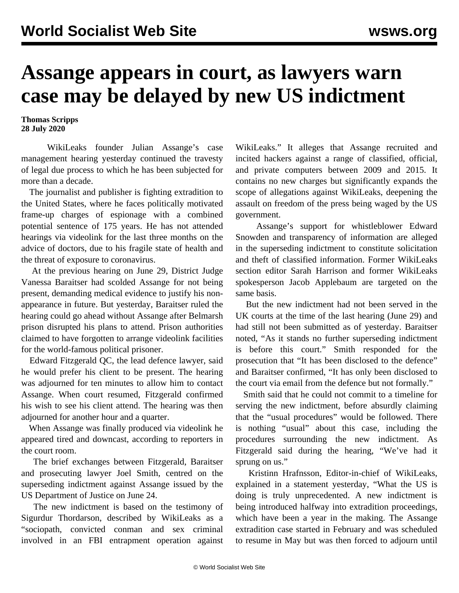## **Assange appears in court, as lawyers warn case may be delayed by new US indictment**

**Thomas Scripps 28 July 2020**

 WikiLeaks founder Julian Assange's case management hearing yesterday continued the travesty of legal due process to which he has been subjected for more than a decade.

 The journalist and publisher is fighting extradition to the United States, where he faces politically motivated frame-up charges of espionage with a combined potential sentence of 175 years. He has not attended hearings via videolink for the last three months on the advice of doctors, due to his fragile state of health and the threat of exposure to coronavirus.

 At the previous hearing on June 29, District Judge Vanessa Baraitser had scolded Assange for not being present, demanding medical evidence to justify his nonappearance in future. But yesterday, Baraitser ruled the hearing could go ahead without Assange after Belmarsh prison disrupted his plans to attend. Prison authorities claimed to have forgotten to arrange videolink facilities for the world-famous political prisoner.

 Edward Fitzgerald QC, the lead defence lawyer, said he would prefer his client to be present. The hearing was adjourned for ten minutes to allow him to contact Assange. When court resumed, Fitzgerald confirmed his wish to see his client attend. The hearing was then adjourned for another hour and a quarter.

 When Assange was finally produced via videolink he appeared tired and downcast, according to reporters in the court room.

 The brief exchanges between Fitzgerald, Baraitser and prosecuting lawyer Joel Smith, centred on the superseding indictment against Assange issued by the US Department of Justice on June 24.

 The new indictment is based on the testimony of Sigurdur Thordarson, described by WikiLeaks as a "sociopath, convicted conman and sex criminal involved in an FBI entrapment operation against

WikiLeaks." It alleges that Assange recruited and incited hackers against a range of classified, official, and private computers between 2009 and 2015. It contains no new charges but significantly expands the scope of allegations against WikiLeaks, deepening the assault on freedom of the press being waged by the US government.

 Assange's support for whistleblower Edward Snowden and transparency of information are alleged in the superseding indictment to constitute solicitation and theft of classified information. Former WikiLeaks section editor Sarah Harrison and former WikiLeaks spokesperson Jacob Applebaum are targeted on the same basis.

 But the new indictment had not been served in the UK courts at the time of the last hearing (June 29) and had still not been submitted as of yesterday. Baraitser noted, "As it stands no further superseding indictment is before this court." Smith responded for the prosecution that "It has been disclosed to the defence" and Baraitser confirmed, "It has only been disclosed to the court via email from the defence but not formally."

 Smith said that he could not commit to a timeline for serving the new indictment, before absurdly claiming that the "usual procedures" would be followed. There is nothing "usual" about this case, including the procedures surrounding the new indictment. As Fitzgerald said during the hearing, "We've had it sprung on us."

 Kristinn Hrafnsson, Editor-in-chief of WikiLeaks, explained in a statement yesterday, "What the US is doing is truly unprecedented. A new indictment is being introduced halfway into extradition proceedings, which have been a year in the making. The Assange extradition case started in February and was scheduled to resume in May but was then forced to adjourn until